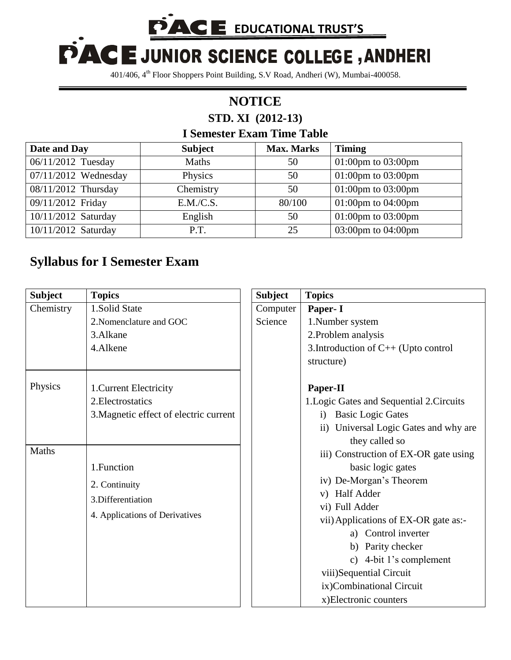**PACE EDUCATIONAL TRUST'S** 

## PACE JUNIOR SCIENCE COLLEGE, ANDHERI

401/406, 4th Floor Shoppers Point Building, S.V Road, Andheri (W), Mumbai-400058.

## **NOTICE STD. XI (2012-13)**

## **I Semester Exam Time Table**

| Date and Day         | <b>Subject</b> | <b>Max. Marks</b> | <b>Timing</b>            |
|----------------------|----------------|-------------------|--------------------------|
| 06/11/2012 Tuesday   | <b>Maths</b>   | 50                | $01:00$ pm to $03:00$ pm |
| 07/11/2012 Wednesday | Physics        | 50                | 01:00pm to $03:00$ pm    |
| 08/11/2012 Thursday  | Chemistry      | 50                | 01:00pm to $03:00$ pm    |
| 09/11/2012 Friday    | E.M./C.S.      | 80/100            | 01:00pm to $04:00$ pm    |
| 10/11/2012 Saturday  | English        | 50                | 01:00pm to $03:00$ pm    |
| 10/11/2012 Saturday  | P.T.           | 25                | 03:00pm to 04:00pm       |

## **Syllabus for I Semester Exam**

| <b>Subject</b> | <b>Topics</b>                          | <b>Subject</b> | <b>Topics</b>                                           |
|----------------|----------------------------------------|----------------|---------------------------------------------------------|
| Chemistry      | 1.Solid State                          | Computer       | Paper- I                                                |
|                | 2. Nomenclature and GOC                | Science        | 1.Number system                                         |
|                | 3.Alkane                               |                | 2. Problem analysis                                     |
|                | 4.Alkene                               |                | 3. Introduction of $C++$ (Upto control                  |
|                |                                        |                | structure)                                              |
| Physics        | 1. Current Electricity                 |                | Paper-II                                                |
|                | 2. Electrostatics                      |                | 1. Logic Gates and Sequential 2. Circuits               |
|                | 3. Magnetic effect of electric current |                | <b>Basic Logic Gates</b><br>i)                          |
|                |                                        |                | ii) Universal Logic Gates and why are<br>they called so |
| Maths          |                                        |                | iii) Construction of EX-OR gate using                   |
|                | 1. Function                            |                | basic logic gates                                       |
|                | 2. Continuity                          |                | iv) De-Morgan's Theorem                                 |
|                | 3. Differentiation                     |                | v) Half Adder                                           |
|                |                                        |                | vi) Full Adder                                          |
|                | 4. Applications of Derivatives         |                | vii) Applications of EX-OR gate as:-                    |
|                |                                        |                | a) Control inverter                                     |
|                |                                        |                | b) Parity checker                                       |
|                |                                        |                | c) 4-bit 1's complement                                 |
|                |                                        |                | viii)Sequential Circuit                                 |
|                |                                        |                | ix)Combinational Circuit                                |
|                |                                        |                | x)Electronic counters                                   |